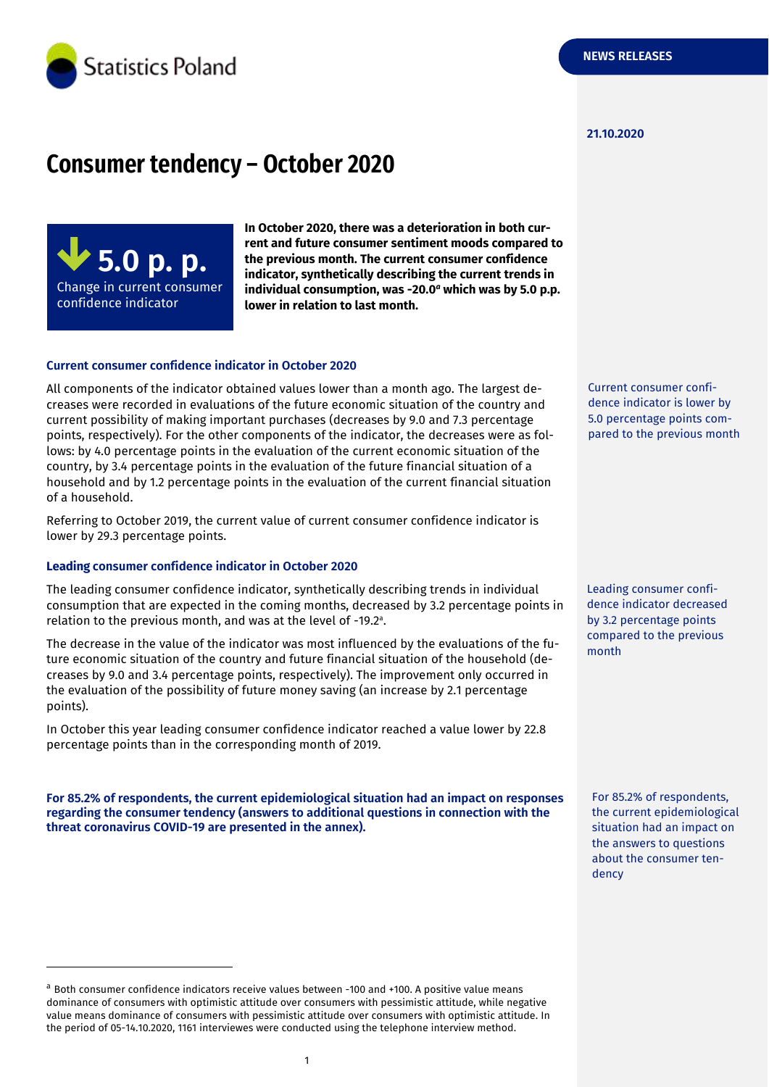

#### **21.10.2020**

# **Consumer tendency – October 2020**

**5.0 p. p.** Change in current consumer confidence indicator

-

**In October 2020, there was a deterioration in both current and future consumer sentiment moods compared to the previous month. The current consumer confidence indicator, synthetically describing the current trends in individual consumption, was -20.0** *<sup>a</sup>* **which was by 5.0 p.p. lower in relation to last month.**

#### **Current consumer confidence indicator in October 2020**

All components of the indicator obtained values lower than a month ago. The largest decreases were recorded in evaluations of the future economic situation of the country and current possibility of making important purchases (decreases by 9.0 and 7.3 percentage points, respectively). For the other components of the indicator, the decreases were as follows: by 4.0 percentage points in the evaluation of the current economic situation of the country, by 3.4 percentage points in the evaluation of the future financial situation of a household and by 1.2 percentage points in the evaluation of the current financial situation of a household.

Referring to October 2019, the current value of current consumer confidence indicator is lower by 29.3 percentage points.

#### **Leading consumer confidence indicator in October 2020**

The leading consumer confidence indicator, synthetically describing trends in individual consumption that are expected in the coming months, decreased by 3.2 percentage points in relation to the previous month, and was at the level of -19.2 a .

The decrease in the value of the indicator was most influenced by the evaluations of the future economic situation of the country and future financial situation of the household (decreases by 9.0 and 3.4 percentage points, respectively). The improvement only occurred in the evaluation of the possibility of future money saving (an increase by 2.1 percentage points).

In October this year leading consumer confidence indicator reached a value lower by 22.8 percentage points than in the corresponding month of 2019.

**For 85.2% of respondents, the current epidemiological situation had an impact on responses regarding the consumer tendency (answers to additional questions in connection with the threat coronavirus COVID-19 are presented in the annex).**

Current consumer confidence indicator is lower by 5.0 percentage points compared to the previous month

Leading consumer confidence indicator decreased by 3.2 percentage points compared to the previous month

For 85.2% of respondents, the current epidemiological situation had an impact on the answers to questions about the consumer tendency

<sup>a</sup> Both consumer confidence indicators receive values between -100 and +100. A positive value means dominance of consumers with optimistic attitude over consumers with pessimistic attitude, while negative value means dominance of consumers with pessimistic attitude over consumers with optimistic attitude. In the period of 05-14.10.2020, 1161 interviewes were conducted using the telephone interview method.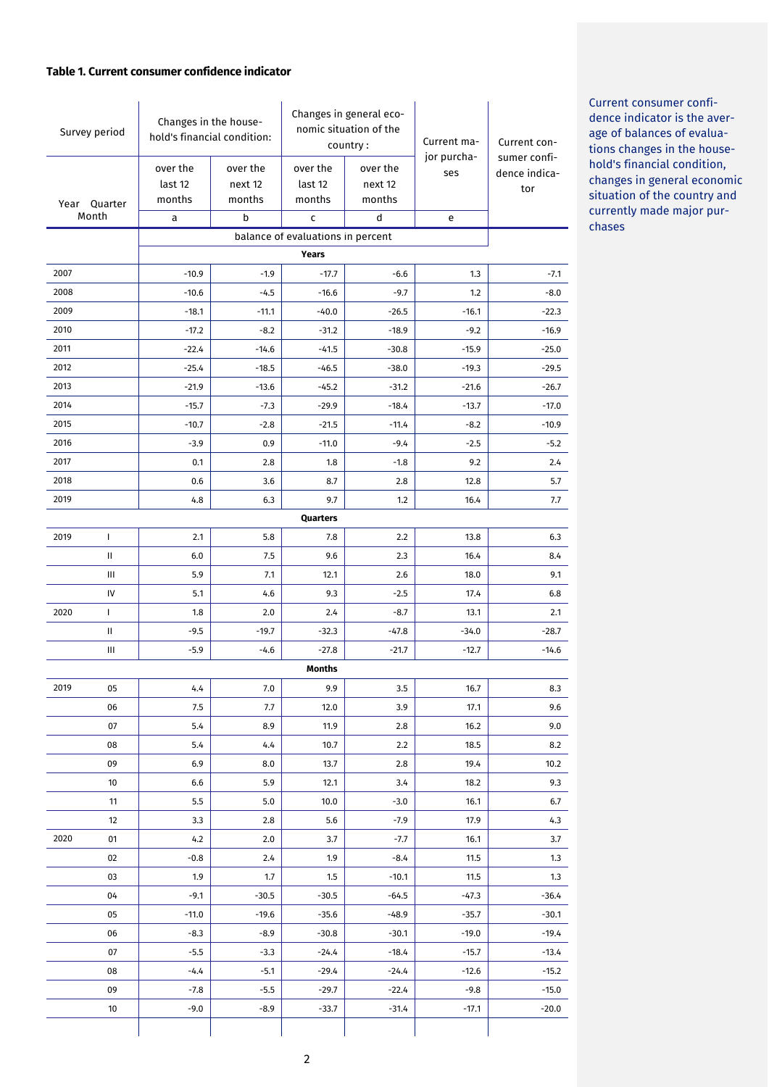#### **Table 1. Current consumer confidence indicator**

| Survey period                              |              | Changes in the house-<br>hold's financial condition: |                               | Changes in general eco-<br>nomic situation of the<br>country: |                               | Current ma-        | Current con-                         |  |
|--------------------------------------------|--------------|------------------------------------------------------|-------------------------------|---------------------------------------------------------------|-------------------------------|--------------------|--------------------------------------|--|
| Year Quarter<br>Month                      |              | over the<br>last 12<br>months                        | over the<br>next 12<br>months | over the<br>last 12<br>months                                 | over the<br>next 12<br>months | jor purcha-<br>ses | sumer confi-<br>dence indica-<br>tor |  |
|                                            |              | а                                                    | b                             | C                                                             | d                             | e                  |                                      |  |
| balance of evaluations in percent<br>Years |              |                                                      |                               |                                                               |                               |                    |                                      |  |
| 2007                                       |              | $-10.9$                                              | $-1.9$                        | $-17.7$                                                       | $-6.6$                        | 1.3                | $-7.1$                               |  |
| 2008                                       |              | $-10.6$                                              | $-4.5$                        | $-16.6$                                                       | $-9.7$                        | 1.2                | $-8.0$                               |  |
| 2009                                       |              | $-18.1$                                              | $-11.1$                       | $-40.0$                                                       | $-26.5$                       | $-16.1$            | $-22.3$                              |  |
| 2010                                       |              | $-17.2$                                              | $-8.2$                        | $-31.2$                                                       | $-18.9$                       | $-9.2$             | $-16.9$                              |  |
| 2011                                       |              | $-22.4$                                              | $-14.6$                       | $-41.5$                                                       | $-30.8$                       | $-15.9$            | $-25.0$                              |  |
| 2012                                       |              | $-25.4$                                              | $-18.5$                       | $-46.5$                                                       | $-38.0$                       | $-19.3$            | $-29.5$                              |  |
| 2013                                       |              | $-21.9$                                              | $-13.6$                       | $-45.2$                                                       | $-31.2$                       | $-21.6$            | $-26.7$                              |  |
| 2014                                       |              | $-15.7$                                              | $-7.3$                        | $-29.9$                                                       | $-18.4$                       | $-13.7$            | $-17.0$                              |  |
| 2015                                       |              | $-10.7$                                              | $-2.8$                        | $-21.5$                                                       | $-11.4$                       | $-8.2$             | $-10.9$                              |  |
| 2016                                       |              | $-3.9$                                               | 0.9                           | $-11.0$                                                       | $-9.4$                        | $-2.5$             | $-5.2$                               |  |
| 2017                                       |              | 0.1                                                  | 2.8                           | 1.8                                                           | $-1.8$                        | 9.2                | 2.4                                  |  |
| 2018                                       |              | 0.6                                                  | 3.6                           | 8.7                                                           | 2.8                           | 12.8               | 5.7                                  |  |
| 2019                                       |              | 4.8                                                  | 6.3                           | 9.7                                                           | 1.2                           | 16.4               | 7.7                                  |  |
|                                            |              |                                                      |                               | Quarters                                                      |                               |                    |                                      |  |
| 2019                                       | $\mathsf{I}$ | 2.1                                                  | 5.8                           | 7.8                                                           | 2.2                           | 13.8               | 6.3                                  |  |
|                                            | Ш            | 6.0                                                  | 7.5                           | 9.6                                                           | 2.3                           | 16.4               | 8.4                                  |  |
|                                            | Ш            | 5.9                                                  | 7.1                           | 12.1                                                          | 2.6                           | 18.0               | 9.1                                  |  |
|                                            | IV           | 5.1                                                  | 4.6                           | 9.3                                                           | $-2.5$                        | 17.4               | 6.8                                  |  |
| 2020                                       | T            | 1.8                                                  | 2.0                           | 2.4                                                           | $-8.7$                        | 13.1               | 2.1                                  |  |
|                                            | Ш            | $-9.5$                                               | $-19.7$                       | $-32.3$                                                       | $-47.8$                       | $-34.0$            | $-28.7$                              |  |
|                                            | Ш            | $-5.9$                                               | $-4.6$                        | $-27.8$                                                       | $-21.7$                       | $-12.7$            | $-14.6$                              |  |
|                                            |              |                                                      |                               | <b>Months</b>                                                 |                               |                    |                                      |  |
| 2019                                       | 05           | 4.4                                                  | 7.0                           | 9.9                                                           | 3.5                           | 16.7               | 8.3                                  |  |
|                                            | 06           | 7.5                                                  | 7.7                           | 12.0                                                          | 3.9                           | 17.1               | 9.6                                  |  |
|                                            | 07           | 5.4                                                  | 8.9                           | 11.9                                                          | 2.8                           | 16.2               | 9.0                                  |  |
|                                            | 08           | 5.4                                                  | 4.4                           | 10.7                                                          | 2.2                           | 18.5               | 8.2                                  |  |
|                                            | 09           | 6.9                                                  | 8.0                           | 13.7                                                          | 2.8                           | 19.4               | 10.2                                 |  |
|                                            | 10           | 6.6                                                  | 5.9                           | 12.1                                                          | 3.4                           | 18.2               | 9.3                                  |  |
|                                            | 11           | 5.5                                                  | 5.0                           | 10.0                                                          | $-3.0$                        | 16.1               | 6.7                                  |  |
|                                            | 12           | 3.3                                                  | 2.8                           | 5.6                                                           | $-7.9$                        | 17.9               | 4.3                                  |  |
| 2020                                       | 01           | 4.2                                                  | 2.0                           | 3.7                                                           | $-7.7$                        | 16.1               | 3.7                                  |  |
|                                            | 02           | $-0.8$                                               | 2.4                           | 1.9                                                           | $-8.4$                        | 11.5               | 1.3                                  |  |
|                                            | 03           | 1.9                                                  | 1.7                           | 1.5                                                           | $-10.1$                       | 11.5               | 1.3                                  |  |
|                                            | 04           | $-9.1$                                               | $-30.5$                       | $-30.5$                                                       | $-64.5$                       | $-47.3$            | $-36.4$                              |  |
|                                            | 05           | $-11.0$                                              | $-19.6$                       | $-35.6$                                                       | $-48.9$                       | -35.7              | $-30.1$                              |  |
|                                            | 06           | $-8.3$                                               | $-8.9$                        | $-30.8$                                                       | $-30.1$                       | $-19.0$            | $-19.4$                              |  |
|                                            | 07           | $-5.5$                                               | $-3.3$                        | $-24.4$                                                       | $-18.4$                       | $-15.7$            | $-13.4$                              |  |
|                                            | 08           | $-4.4$                                               | $-5.1$                        | $-29.4$                                                       | $-24.4$                       | $-12.6$            | $-15.2$                              |  |
|                                            | 09           | $-7.8$                                               | $-5.5$                        | $-29.7$                                                       | $-22.4$                       | $-9.8$             | $-15.0$                              |  |
|                                            | 10           | $-9.0$                                               | $-8.9$                        | $-33.7$                                                       | $-31.4$                       | $-17.1$            | $-20.0$                              |  |
|                                            |              |                                                      |                               |                                                               |                               |                    |                                      |  |

Current consumer confidence indicator is the average of balances of evaluations changes in the household's financial condition, changes in general economic situation of the country and currently made major purchases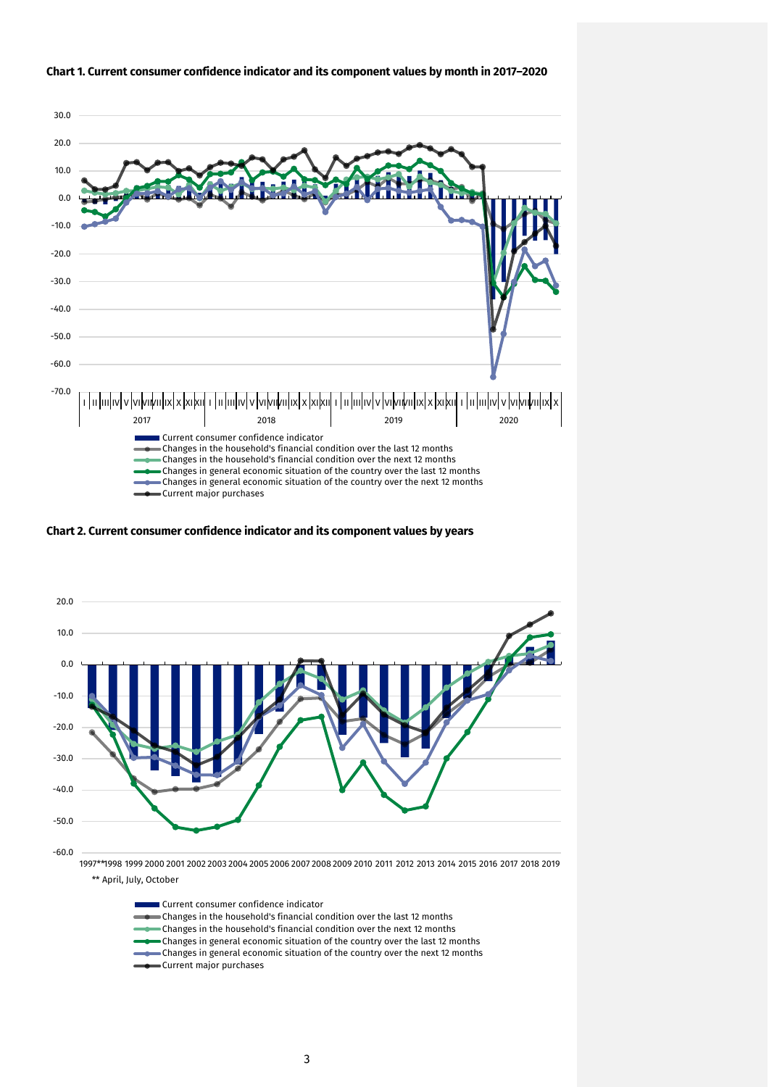

#### **Chart 1. Current consumer confidence indicator and its component values by month in 2017–2020**

**Chart 2. Current consumer confidence indicator and its component values by years**



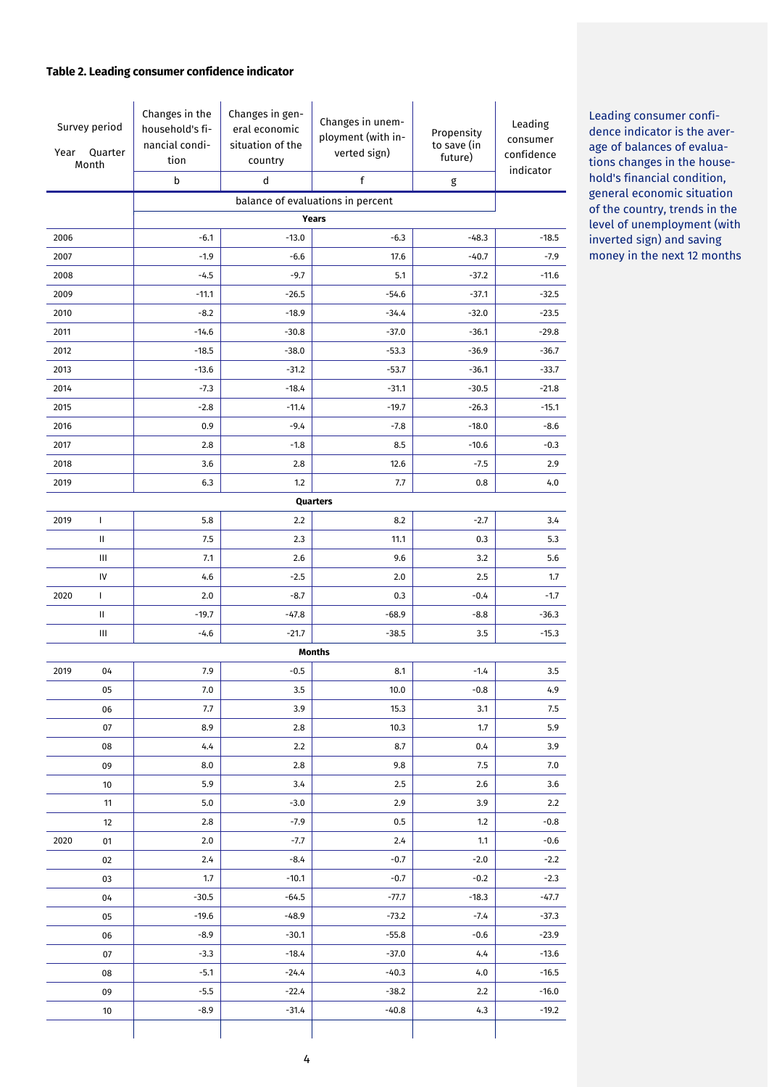### **Table 2. Leading consumer confidence indicator**

| Survey period<br>Year<br>Quarter<br>Month |              | Changes in the<br>household's fi-<br>nancial condi-<br>tion | Changes in gen-<br>eral economic<br>situation of the<br>country | Changes in unem-<br>ployment (with in-<br>verted sign) | Propensity<br>to save (in<br>future) | Leading<br>consumer<br>confidence<br>indicator |  |  |
|-------------------------------------------|--------------|-------------------------------------------------------------|-----------------------------------------------------------------|--------------------------------------------------------|--------------------------------------|------------------------------------------------|--|--|
|                                           |              | b                                                           | d                                                               | $\mathsf f$                                            | g                                    |                                                |  |  |
|                                           |              | balance of evaluations in percent<br><b>Years</b>           |                                                                 |                                                        |                                      |                                                |  |  |
| 2006                                      |              | $-6.1$                                                      | $-13.0$                                                         | $-6.3$                                                 | $-48.3$                              | $-18.5$                                        |  |  |
| 2007                                      |              | $-1.9$                                                      | $-6.6$                                                          | 17.6                                                   | $-40.7$                              | $-7.9$                                         |  |  |
| 2008                                      |              | $-4.5$                                                      | $-9.7$                                                          | 5.1                                                    | $-37.2$                              | $-11.6$                                        |  |  |
| 2009                                      |              | $-11.1$                                                     | $-26.5$                                                         | $-54.6$                                                | $-37.1$                              | $-32.5$                                        |  |  |
| 2010                                      |              | $-8.2$                                                      | $-18.9$                                                         | $-34.4$                                                | $-32.0$                              | $-23.5$                                        |  |  |
| 2011                                      |              | $-14.6$                                                     | $-30.8$                                                         | $-37.0$                                                | $-36.1$                              | $-29.8$                                        |  |  |
| 2012                                      |              | $-18.5$                                                     | $-38.0$                                                         | $-53.3$                                                | $-36.9$                              | $-36.7$                                        |  |  |
| 2013                                      |              | $-13.6$                                                     | $-31.2$                                                         | $-53.7$                                                | $-36.1$                              | $-33.7$                                        |  |  |
| 2014                                      |              | $-7.3$                                                      | $-18.4$                                                         | $-31.1$                                                | $-30.5$                              | $-21.8$                                        |  |  |
| 2015                                      |              | $-2.8$                                                      | $-11.4$                                                         | $-19.7$                                                | $-26.3$                              | $-15.1$                                        |  |  |
| 2016                                      |              | 0.9                                                         | $-9.4$                                                          | $-7.8$                                                 | $-18.0$                              | $-8.6$                                         |  |  |
| 2017                                      |              | 2.8                                                         | $-1.8$                                                          | 8.5                                                    | $-10.6$                              | $-0.3$                                         |  |  |
| 2018                                      |              | 3.6                                                         | 2.8                                                             | 12.6                                                   | $-7.5$                               | 2.9                                            |  |  |
| 2019                                      |              | 6.3                                                         | 1.2                                                             | 7.7                                                    | 0.8                                  | 4.0                                            |  |  |
|                                           |              |                                                             |                                                                 | Quarters                                               |                                      |                                                |  |  |
| 2019                                      | $\mathbf{I}$ | 5.8                                                         | 2.2                                                             | 8.2                                                    | $-2.7$                               | 3.4                                            |  |  |
|                                           | $\mathbf{H}$ | 7.5                                                         | 2.3                                                             | 11.1                                                   | 0.3                                  | 5.3                                            |  |  |
|                                           | Ш            | 7.1                                                         | 2.6                                                             | 9.6                                                    | 3.2                                  | 5.6                                            |  |  |
|                                           | IV           | 4.6                                                         | $-2.5$                                                          | 2.0                                                    | 2.5                                  | 1.7                                            |  |  |
| 2020                                      | $\mathbf{I}$ | 2.0                                                         | $-8.7$                                                          | 0.3                                                    | $-0.4$                               | $-1.7$                                         |  |  |
|                                           | $\mathbf{H}$ | $-19.7$                                                     | $-47.8$                                                         | $-68.9$                                                | $-8.8$                               | $-36.3$                                        |  |  |
|                                           | Ш            | $-4.6$                                                      | $-21.7$                                                         | $-38.5$                                                | 3.5                                  | $-15.3$                                        |  |  |
|                                           |              | <b>Months</b>                                               |                                                                 |                                                        |                                      |                                                |  |  |
| 2019                                      | 04           | 7.9                                                         | $-0.5$                                                          | 8.1                                                    | $-1.4$                               | 3.5                                            |  |  |
|                                           | 05           | 7.0                                                         | 3.5                                                             | 10.0                                                   | $-0.8$                               | 4.9                                            |  |  |
|                                           | 06           | 7.7                                                         | 3.9                                                             | 15.3                                                   | 3.1                                  | 7.5                                            |  |  |
|                                           | 07           | 8.9                                                         | 2.8                                                             | 10.3                                                   | 1.7                                  | 5.9                                            |  |  |
|                                           | 08           | 4.4                                                         | 2.2                                                             | 8.7                                                    | 0.4                                  | 3.9                                            |  |  |
|                                           | 09           | 8.0                                                         | 2.8                                                             | 9.8                                                    | 7.5                                  | 7.0                                            |  |  |
|                                           | 10           | 5.9                                                         | 3.4                                                             | 2.5                                                    | 2.6                                  | 3.6                                            |  |  |
|                                           | 11           | 5.0                                                         | $-3.0$                                                          | 2.9                                                    | 3.9                                  | 2.2                                            |  |  |
|                                           | 12           | 2.8                                                         | $-7.9$                                                          | 0.5                                                    | 1.2                                  | $-0.8$                                         |  |  |
| 2020                                      | 01           | 2.0                                                         | -7.7                                                            | 2.4                                                    | 1.1                                  | $-0.6$                                         |  |  |
|                                           | 02           | 2.4                                                         | $-8.4$                                                          | $-0.7$                                                 | $-2.0$                               | $-2.2$                                         |  |  |
|                                           | 03           | 1.7                                                         | $-10.1$                                                         | $-0.7$                                                 | $-0.2$                               | $-2.3$                                         |  |  |
|                                           | 04           | $-30.5$                                                     | $-64.5$                                                         | -77.7                                                  | $-18.3$                              | $-47.7$                                        |  |  |
|                                           | 05           | $-19.6$                                                     | $-48.9$                                                         | $-73.2$                                                | $-7.4$                               | $-37.3$                                        |  |  |
|                                           | 06           | $-8.9$                                                      | $-30.1$                                                         | $-55.8$                                                | $-0.6$                               | $-23.9$                                        |  |  |
|                                           | 07           | $-3.3$                                                      | $-18.4$                                                         | $-37.0$                                                | 4.4                                  | $-13.6$                                        |  |  |
|                                           | 08           | $-5.1$                                                      | $-24.4$                                                         | $-40.3$                                                | 4.0                                  | $-16.5$                                        |  |  |
|                                           | 09           | $-5.5$                                                      | $-22.4$                                                         | $-38.2$                                                | 2.2                                  | $-16.0$                                        |  |  |
|                                           | 10           | $-8.9$                                                      | $-31.4$                                                         | $-40.8$                                                | 4.3                                  | $-19.2$                                        |  |  |
|                                           |              |                                                             |                                                                 |                                                        |                                      |                                                |  |  |

Leading consumer confidence indicator is the average of balances of evaluations changes in the household's financial condition, general economic situation of the country, trends in the level of unemployment (with inverted sign) and saving money in the next 12 months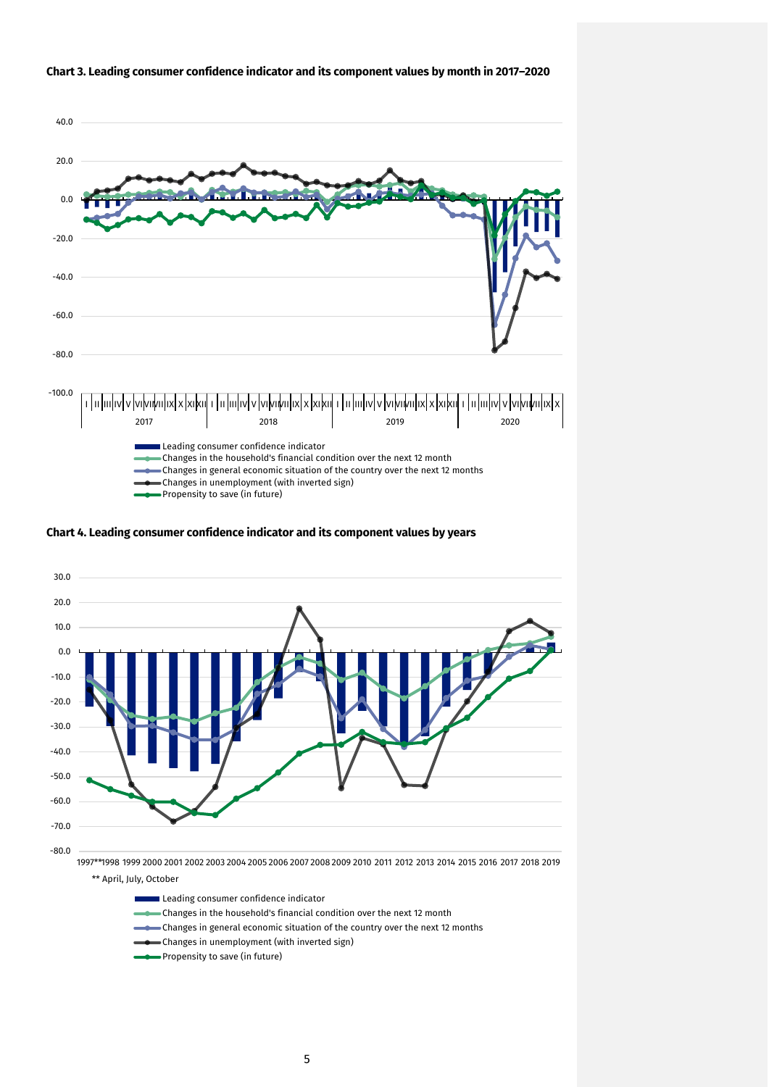

**Chart 3. Leading consumer confidence indicator and its component values by month in 2017–2020**

**Chart 4. Leading consumer confidence indicator and its component values by years**



Leading consumer confidence indicator

- Changes in the household's financial condition over the next 12 month
- Changes in general economic situation of the country over the next 12 months
- Changes in unemployment (with inverted sign)
- Propensity to save (in future)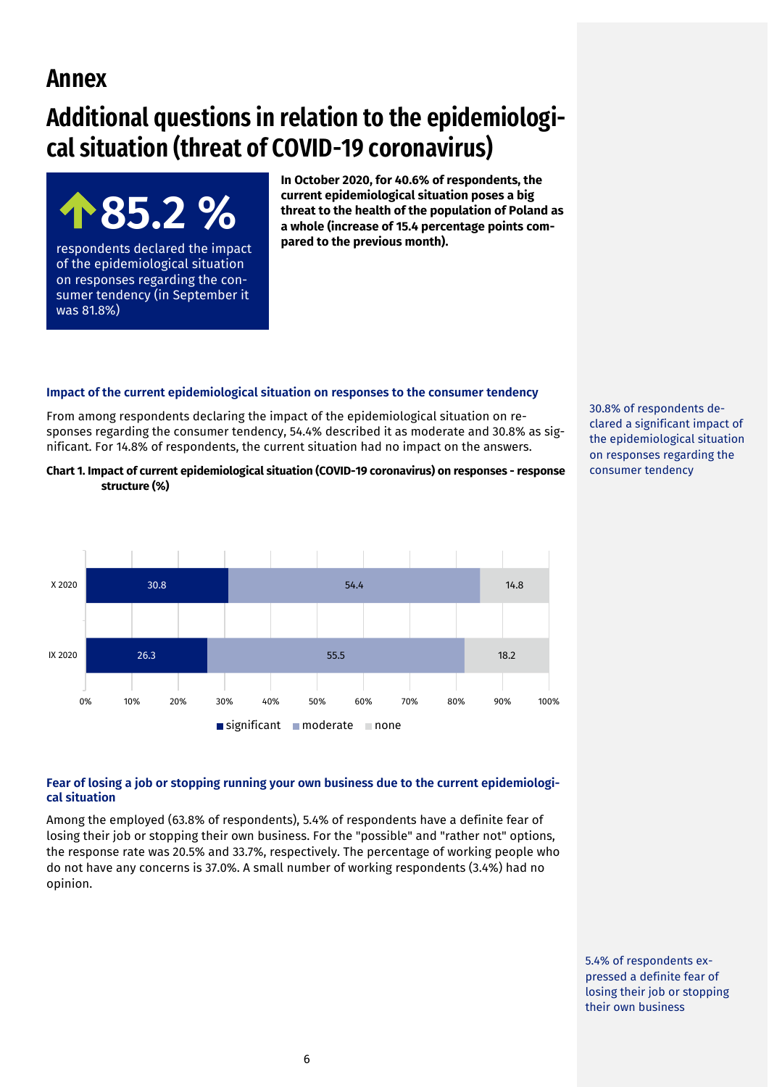# **Annex**

was 81.8%)

# **Additional questions in relation to the epidemiological situation (threat of COVID-19 coronavirus)**

**85.2 %** 

of the epidemiological situation on responses regarding the consumer tendency (in September it

**In October 2020, for 40.6% of respondents, the current epidemiological situation poses a big threat to the health of the population of Poland as a whole (increase of 15.4 percentage points compared to the previous month).**  respondents declared the impact

#### **Impact of the current epidemiological situation on responses to the consumer tendency**

From among respondents declaring the impact of the epidemiological situation on responses regarding the consumer tendency, 54.4% described it as moderate and 30.8% as significant. For 14.8% of respondents, the current situation had no impact on the answers.

**Chart 1. Impact of current epidemiological situation (COVID-19 coronavirus) on responses - response structure (%)**



30.8% of respondents declared a significant impact of the epidemiological situation on responses regarding the consumer tendency

### **Fear of losing a job or stopping running your own business due to the current epidemiological situation**

Among the employed (63.8% of respondents), 5.4% of respondents have a definite fear of losing their job or stopping their own business. For the "possible" and "rather not" options, the response rate was 20.5% and 33.7%, respectively. The percentage of working people who do not have any concerns is 37.0%. A small number of working respondents (3.4%) had no opinion.

> 5.4% of respondents expressed a definite fear of losing their job or stopping their own business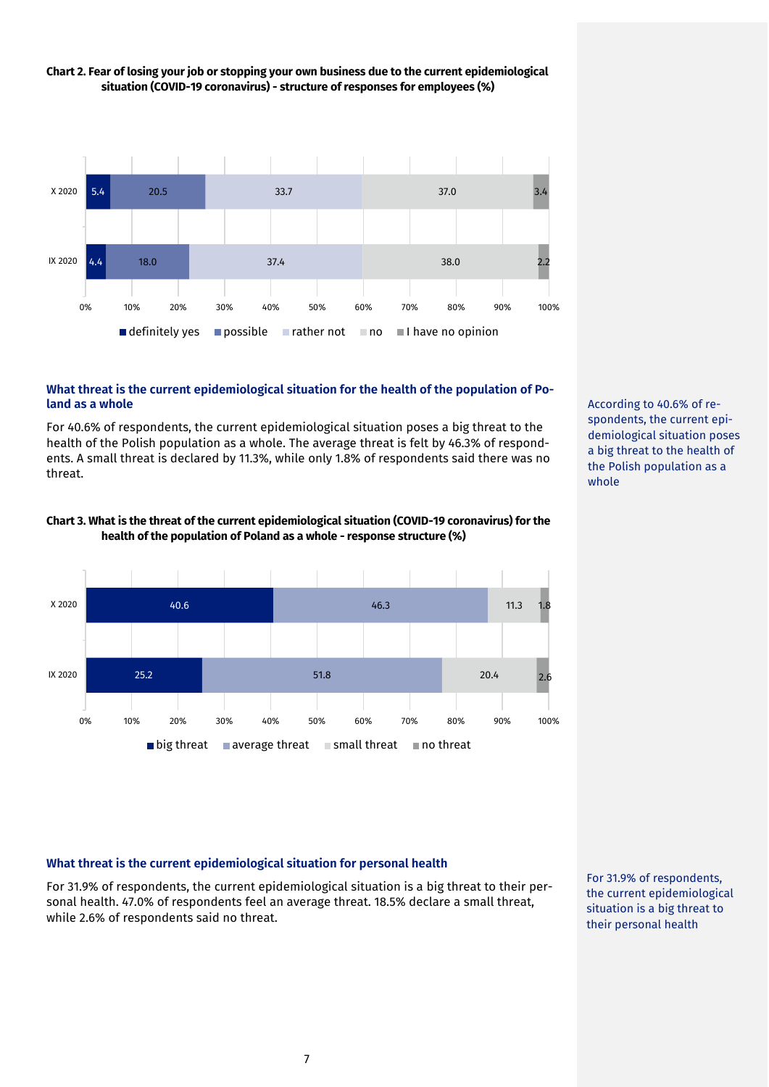

# **Chart 2. Fear of losing your job or stopping your own business due to the current epidemiological situation (COVID-19 coronavirus) - structure of responses for employees (%)**

#### **What threat is the current epidemiological situation for the health of the population of Poland as a whole**

For 40.6% of respondents, the current epidemiological situation poses a big threat to the health of the Polish population as a whole. The average threat is felt by 46.3% of respondents. A small threat is declared by 11.3%, while only 1.8% of respondents said there was no threat.





According to 40.6% of respondents, the current epidemiological situation poses a big threat to the health of the Polish population as a whole

# **What threat is the current epidemiological situation for personal health**

For 31.9% of respondents, the current epidemiological situation is a big threat to their personal health. 47.0% of respondents feel an average threat. 18.5% declare a small threat, while 2.6% of respondents said no threat.

For 31.9% of respondents, the current epidemiological situation is a big threat to their personal health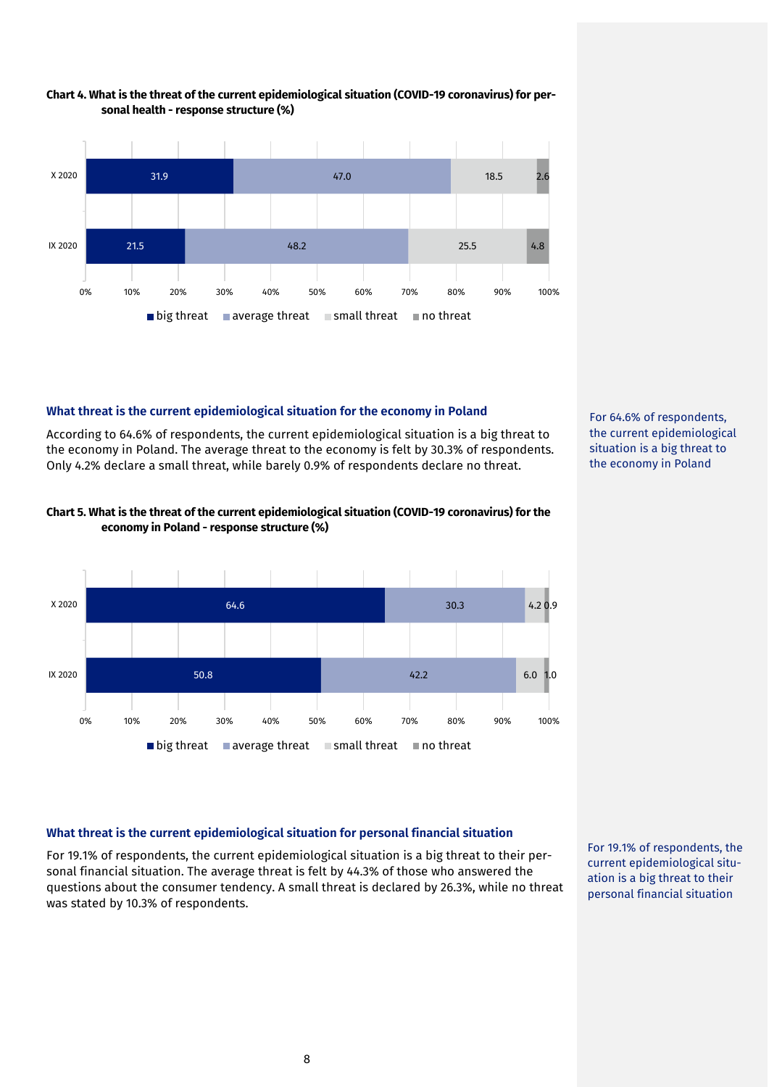

#### **Chart 4. What is the threat of the current epidemiological situation (COVID-19 coronavirus) for personal health - response structure (%)**

# **What threat is the current epidemiological situation for the economy in Poland**

According to 64.6% of respondents, the current epidemiological situation is a big threat to the economy in Poland. The average threat to the economy is felt by 30.3% of respondents. Only 4.2% declare a small threat, while barely 0.9% of respondents declare no threat.



## **Chart 5. What is the threat of the current epidemiological situation (COVID-19 coronavirus) for the economy in Poland - response structure (%)**



# **What threat is the current epidemiological situation for personal financial situation**

For 19.1% of respondents, the current epidemiological situation is a big threat to their personal financial situation. The average threat is felt by 44.3% of those who answered the questions about the consumer tendency. A small threat is declared by 26.3%, while no threat was stated by 10.3% of respondents.

For 19.1% of respondents, the current epidemiological situation is a big threat to their personal financial situation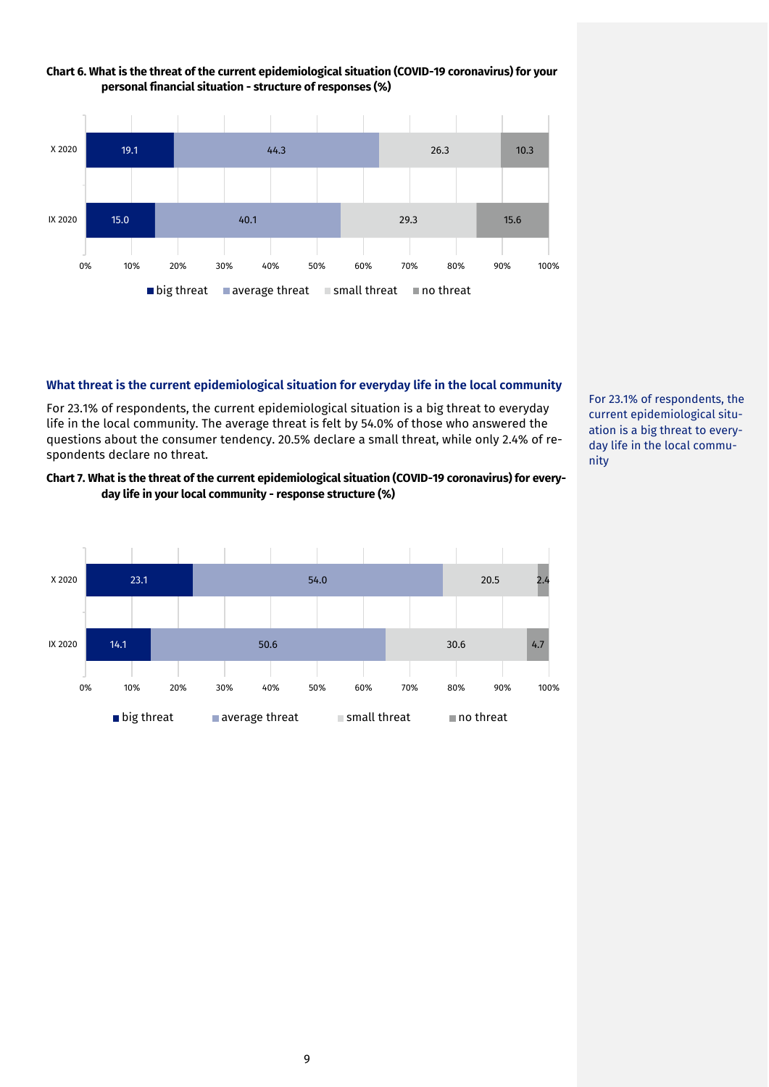

### **Chart 6. What is the threat of the current epidemiological situation (COVID-19 coronavirus) for your personal financial situation - structure of responses (%)**

#### **What threat is the current epidemiological situation for everyday life in the local community**

For 23.1% of respondents, the current epidemiological situation is a big threat to everyday life in the local community. The average threat is felt by 54.0% of those who answered the questions about the consumer tendency. 20.5% declare a small threat, while only 2.4% of respondents declare no threat.

## **Chart 7. What is the threat of the current epidemiological situation (COVID-19 coronavirus) for everyday life in your local community - response structure (%)**



For 23.1% of respondents, the current epidemiological situation is a big threat to everyday life in the local community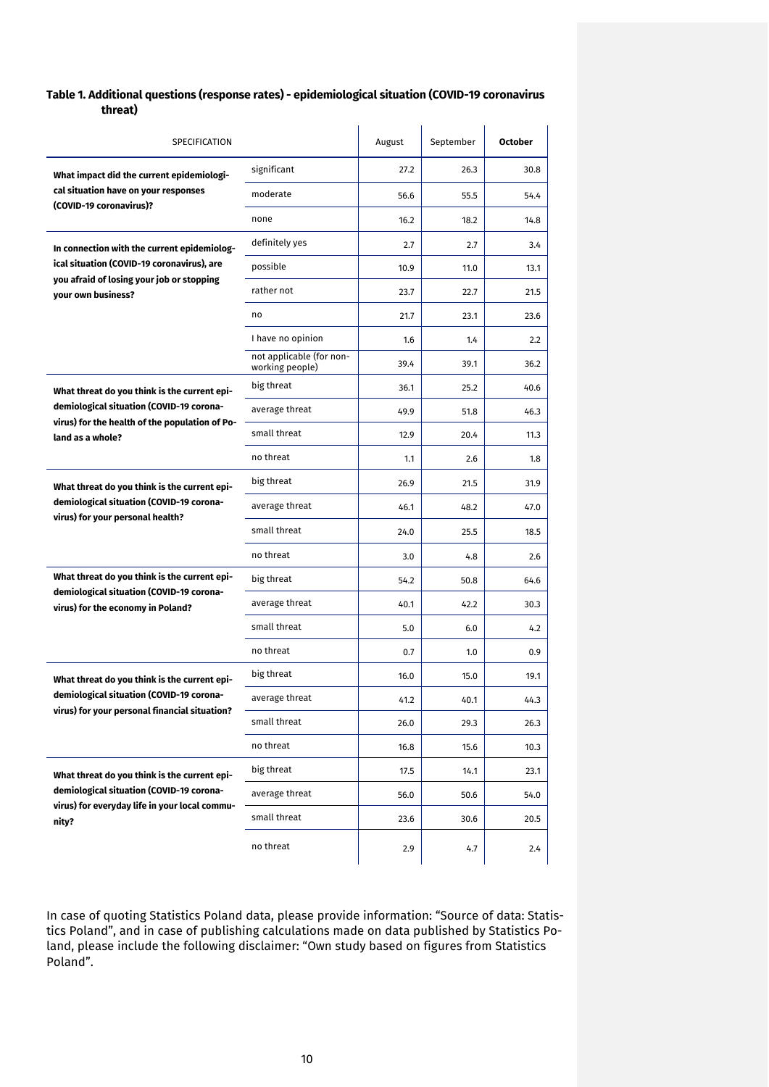### **Table 1. Additional questions (response rates) - epidemiological situation (COVID-19 coronavirus threat)**

| SPECIFICATION                                                                              |                                             | August | September | <b>October</b> |
|--------------------------------------------------------------------------------------------|---------------------------------------------|--------|-----------|----------------|
| What impact did the current epidemiologi-                                                  | significant                                 | 27.2   | 26.3      | 30.8           |
| cal situation have on your responses                                                       | moderate                                    | 56.6   | 55.5      | 54.4           |
| (COVID-19 coronavirus)?                                                                    | none                                        | 16.2   | 18.2      | 14.8           |
| In connection with the current epidemiolog-                                                | definitely yes                              | 2.7    | 2.7       | 3.4            |
| ical situation (COVID-19 coronavirus), are<br>you afraid of losing your job or stopping    | possible                                    | 10.9   | 11.0      | 13.1           |
| your own business?                                                                         | rather not                                  | 23.7   | 22.7      | 21.5           |
|                                                                                            | no                                          | 21.7   | 23.1      | 23.6           |
|                                                                                            | I have no opinion                           | 1.6    | 1.4       | 2.2            |
|                                                                                            | not applicable (for non-<br>working people) | 39.4   | 39.1      | 36.2           |
| What threat do you think is the current epi-                                               | big threat                                  | 36.1   | 25.2      | 40.6           |
| demiological situation (COVID-19 corona-<br>virus) for the health of the population of Po- | average threat                              | 49.9   | 51.8      | 46.3           |
| land as a whole?                                                                           | small threat                                | 12.9   | 20.4      | 11.3           |
|                                                                                            | no threat                                   | 1.1    | 2.6       | 1.8            |
| What threat do you think is the current epi-                                               | big threat                                  | 26.9   | 21.5      | 31.9           |
| demiological situation (COVID-19 corona-<br>virus) for your personal health?               | average threat                              | 46.1   | 48.2      | 47.0           |
|                                                                                            | small threat                                | 24.0   | 25.5      | 18.5           |
|                                                                                            | no threat                                   | 3.0    | 4.8       | 2.6            |
| What threat do you think is the current epi-                                               | big threat                                  | 54.2   | 50.8      | 64.6           |
| demiological situation (COVID-19 corona-<br>virus) for the economy in Poland?              | average threat                              | 40.1   | 42.2      | 30.3           |
|                                                                                            | small threat                                | 5.0    | 6.0       | 4.2            |
|                                                                                            | no threat                                   | 0.7    | 1.0       | 0.9            |
| What threat do you think is the current epi-                                               | big threat                                  | 16.0   | 15.0      | 19.1           |
| demiological situation (COVID-19 corona-<br>virus) for your personal financial situation?  | average threat                              | 41.2   | 40.1      | 44.3           |
|                                                                                            | small threat                                | 26.0   | 29.3      | 26.3           |
|                                                                                            | no threat                                   | 16.8   | 15.6      | 10.3           |
| What threat do you think is the current epi-                                               | big threat                                  | 17.5   | 14.1      | 23.1           |
| demiological situation (COVID-19 corona-<br>virus) for everyday life in your local commu-  | average threat                              | 56.0   | 50.6      | 54.0           |
| nity?                                                                                      | small threat                                | 23.6   | 30.6      | 20.5           |
|                                                                                            | no threat                                   | 2.9    | 4.7       | 2.4            |

In case of quoting Statistics Poland data, please provide information: "Source of data: Statistics Poland", and in case of publishing calculations made on data published by Statistics Poland, please include the following disclaimer: "Own study based on figures from Statistics Poland".